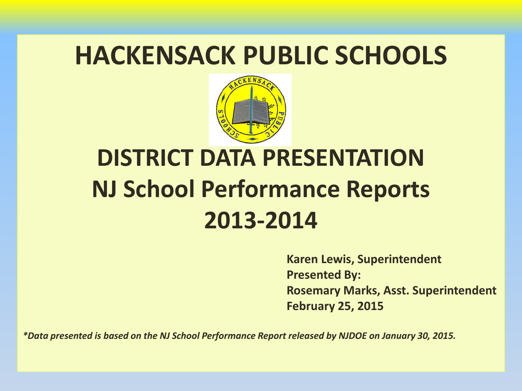#### **HACKENSACK PUBLIC SCHOOLS**



### **DISTRICT DATA PRESENTATION NJ School Performance Reports 2013-2014**

**Karen Lewis, Superintendent Presented By: Rosemary Marks, Asst. Superintendent February 25, 2015**

*\*Data presented is based on the NJ School Performance Report released by NJDOE on January 30, 2015.*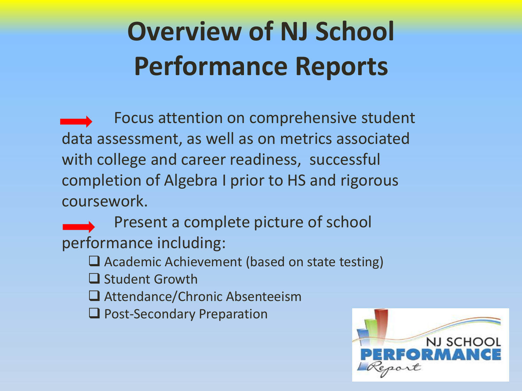## **Overview of NJ School Performance Reports**

 Focus attention on comprehensive student data assessment, as well as on metrics associated with college and career readiness, successful completion of Algebra I prior to HS and rigorous coursework.

Present a complete picture of school performance including:

 $\Box$  Academic Achievement (based on state testing)

 $\Box$  Student Growth

□ Attendance/Chronic Absenteeism

**Q** Post-Secondary Preparation

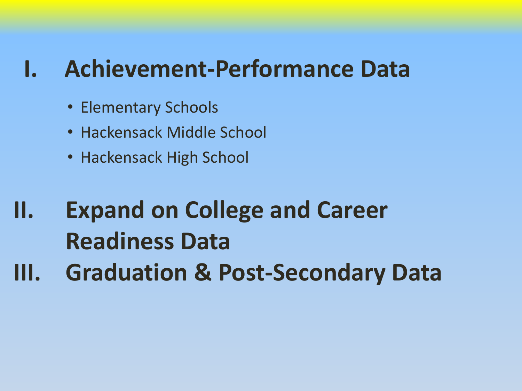#### **I. Achievement-Performance Data**

- Elementary Schools
- Hackensack Middle School
- Hackensack High School

### **II. Expand on College and Career Readiness Data III. Graduation & Post-Secondary Data**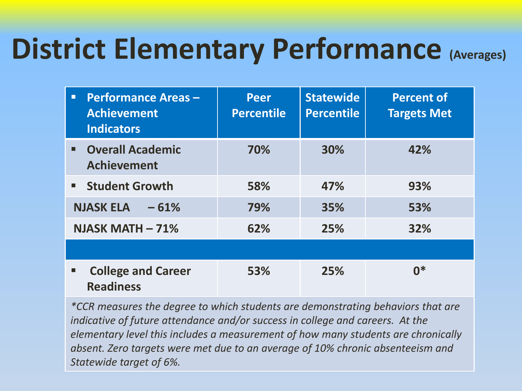## **District Elementary Performance (Averages)**

| <b>Performance Areas -</b><br>п<br><b>Achievement</b><br><b>Indicators</b> | <b>Peer</b><br><b>Percentile</b> | <b>Statewide</b><br><b>Percentile</b> | <b>Percent of</b><br><b>Targets Met</b> |
|----------------------------------------------------------------------------|----------------------------------|---------------------------------------|-----------------------------------------|
| <b>• Overall Academic</b><br><b>Achievement</b>                            | 70%                              | 30%                                   | 42%                                     |
| <b>Student Growth</b>                                                      | 58%                              | 47%                                   | 93%                                     |
| <b>NJASK ELA</b><br>$-61%$                                                 | 79%                              | 35%                                   | 53%                                     |
| NJASK MATH $-71\%$                                                         | 62%                              | 25%                                   | 32%                                     |
|                                                                            |                                  |                                       |                                         |
| <b>College and Career</b><br>п<br><b>Readiness</b>                         | 53%                              | 25%                                   | በ*                                      |

*\*CCR measures the degree to which students are demonstrating behaviors that are indicative of future attendance and/or success in college and careers. At the elementary level this includes a measurement of how many students are chronically absent. Zero targets were met due to an average of 10% chronic absenteeism and Statewide target of 6%.*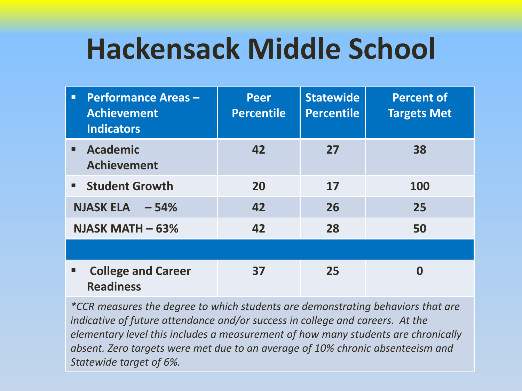# **Hackensack Middle School**

| <b>Performance Areas-</b><br>ο<br><b>Achievement</b><br><b>Indicators</b> | <b>Peer</b><br><b>Percentile</b> | <b>Statewide</b><br><b>Percentile</b> | <b>Percent of</b><br><b>Targets Met</b> |
|---------------------------------------------------------------------------|----------------------------------|---------------------------------------|-----------------------------------------|
| <b>Academic</b><br><b>Achievement</b>                                     | 42                               | 27                                    | 38                                      |
| <b>E</b> Student Growth                                                   | 20                               | 17                                    | 100                                     |
| <b>NJASK ELA</b><br>$-54%$                                                | 42                               | 26                                    | 25                                      |
| NJASK MATH $-63%$                                                         | 42                               | 28                                    | 50                                      |
|                                                                           |                                  |                                       |                                         |
| <b>College and Career</b><br>п<br><b>Readiness</b>                        | 37                               | 25                                    |                                         |

*\*CCR measures the degree to which students are demonstrating behaviors that are indicative of future attendance and/or success in college and careers. At the elementary level this includes a measurement of how many students are chronically absent. Zero targets were met due to an average of 10% chronic absenteeism and Statewide target of 6%.*